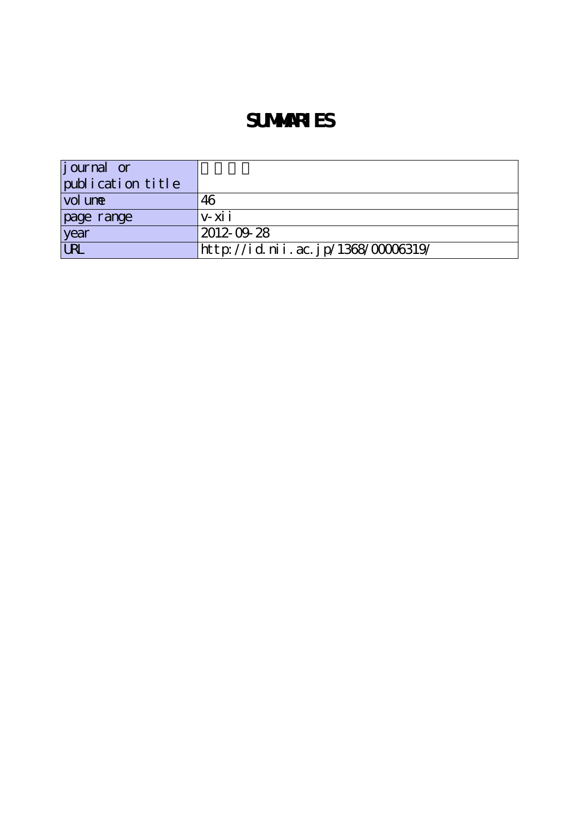# **SUMMARIES**

| $\left  \text{j our} \right $ or |                                    |
|----------------------------------|------------------------------------|
| publication title                |                                    |
| vol une                          | 46                                 |
| page range                       | $V - XI$                           |
| year                             | 2012-09-28                         |
| <b>URL</b>                       | http://id.nii.ac.jp/1368/00006319/ |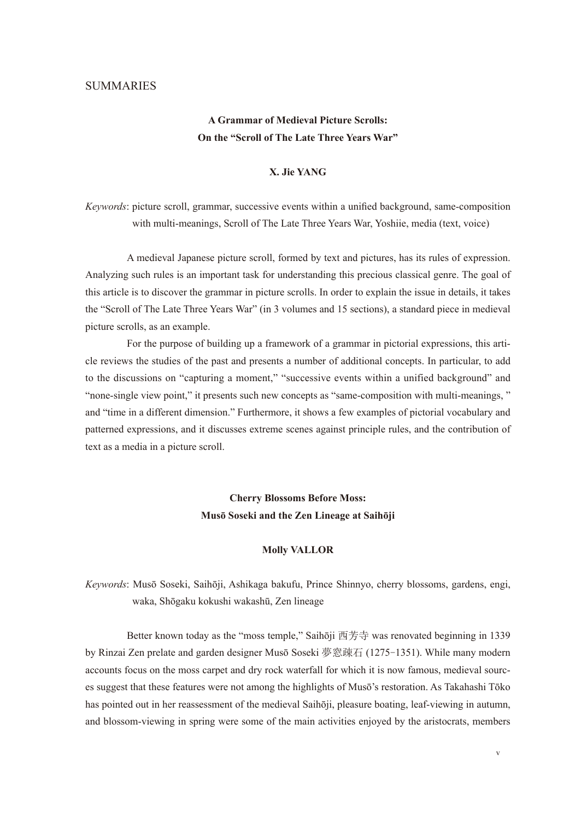## **SUMMARIES**

# **A Grammar of Medieval Picture Scrolls: On the "Scroll of The Late Three Years War"**

## **X. Jie YANG**

*Keywords*: picture scroll, grammar, successive events within a unified background, same-composition with multi-meanings, Scroll of The Late Three Years War, Yoshiie, media (text, voice)

 A medieval Japanese picture scroll, formed by text and pictures, has its rules of expression. Analyzing such rules is an important task for understanding this precious classical genre. The goal of this article is to discover the grammar in picture scrolls. In order to explain the issue in details, it takes the "Scroll of The Late Three Years War" (in 3 volumes and 15 sections), a standard piece in medieval picture scrolls, as an example.

 For the purpose of building up a framework of a grammar in pictorial expressions, this article reviews the studies of the past and presents a number of additional concepts. In particular, to add to the discussions on "capturing a moment," "successive events within a unified background" and "none-single view point," it presents such new concepts as "same-composition with multi-meanings, " and "time in a different dimension." Furthermore, it shows a few examples of pictorial vocabulary and patterned expressions, and it discusses extreme scenes against principle rules, and the contribution of text as a media in a picture scroll.

# **Cherry Blossoms Before Moss: Musō Soseki and the Zen Lineage at Saihōji**

#### **Molly VALLOR**

*Keywords*: Musō Soseki, Saihōji, Ashikaga bakufu, Prince Shinnyo, cherry blossoms, gardens, engi, waka, Shōgaku kokushi wakashū, Zen lineage

 Better known today as the "moss temple," Saihōji 西芳寺 was renovated beginning in 1339 by Rinzai Zen prelate and garden designer Musō Soseki 夢窓疎石 (1275-1351). While many modern accounts focus on the moss carpet and dry rock waterfall for which it is now famous, medieval sources suggest that these features were not among the highlights of Musō's restoration. As Takahashi Tōko has pointed out in her reassessment of the medieval Saihōji, pleasure boating, leaf-viewing in autumn, and blossom-viewing in spring were some of the main activities enjoyed by the aristocrats, members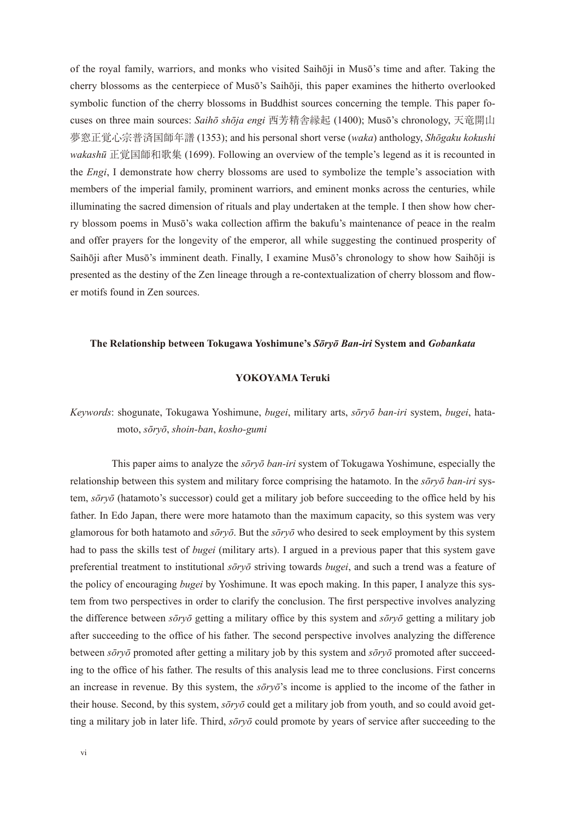of the royal family, warriors, and monks who visited Saihōji in Musō's time and after. Taking the cherry blossoms as the centerpiece of Musō's Saihōji, this paper examines the hitherto overlooked symbolic function of the cherry blossoms in Buddhist sources concerning the temple. This paper focuses on three main sources: *Saihō shōja engi* 西芳精舎縁起 (1400); Musō's chronology, 天竜開山 夢窓正覚心宗普済国師年譜 (1353); and his personal short verse (*waka*) anthology, *Shōgaku kokushi wakashū* 正覚国師和歌集 (1699). Following an overview of the temple's legend as it is recounted in the *Engi*, I demonstrate how cherry blossoms are used to symbolize the temple's association with members of the imperial family, prominent warriors, and eminent monks across the centuries, while illuminating the sacred dimension of rituals and play undertaken at the temple. I then show how cherry blossom poems in Musō's waka collection affirm the bakufu's maintenance of peace in the realm and offer prayers for the longevity of the emperor, all while suggesting the continued prosperity of Saihōji after Musō's imminent death. Finally, I examine Musō's chronology to show how Saihōji is presented as the destiny of the Zen lineage through a re-contextualization of cherry blossom and flower motifs found in Zen sources.

#### **The Relationship between Tokugawa Yoshimune's** *Sōryō Ban-iri* **System and** *Gobankata*

#### **YOKOYAMA Teruki**

*Keywords*: shogunate, Tokugawa Yoshimune, *bugei*, military arts, *sōryō ban-iri* system, *bugei*, hatamoto, *sōryō*, *shoin-ban*, *kosho-gumi*

 This paper aims to analyze the *sōryō ban-iri* system of Tokugawa Yoshimune, especially the relationship between this system and military force comprising the hatamoto. In the *sōryō ban-iri* system, *sōryō* (hatamoto's successor) could get a military job before succeeding to the office held by his father. In Edo Japan, there were more hatamoto than the maximum capacity, so this system was very glamorous for both hatamoto and *sōryō*. But the *sōryō* who desired to seek employment by this system had to pass the skills test of *bugei* (military arts). I argued in a previous paper that this system gave preferential treatment to institutional *sōryō* striving towards *bugei*, and such a trend was a feature of the policy of encouraging *bugei* by Yoshimune. It was epoch making. In this paper, I analyze this system from two perspectives in order to clarify the conclusion. The first perspective involves analyzing the difference between *sōryō* getting a military office by this system and *sōryō* getting a military job after succeeding to the office of his father. The second perspective involves analyzing the difference between *sōryō* promoted after getting a military job by this system and *sōryō* promoted after succeeding to the office of his father. The results of this analysis lead me to three conclusions. First concerns an increase in revenue. By this system, the *sōryō*'s income is applied to the income of the father in their house. Second, by this system, *sōryō* could get a military job from youth, and so could avoid getting a military job in later life. Third, *sōryō* could promote by years of service after succeeding to the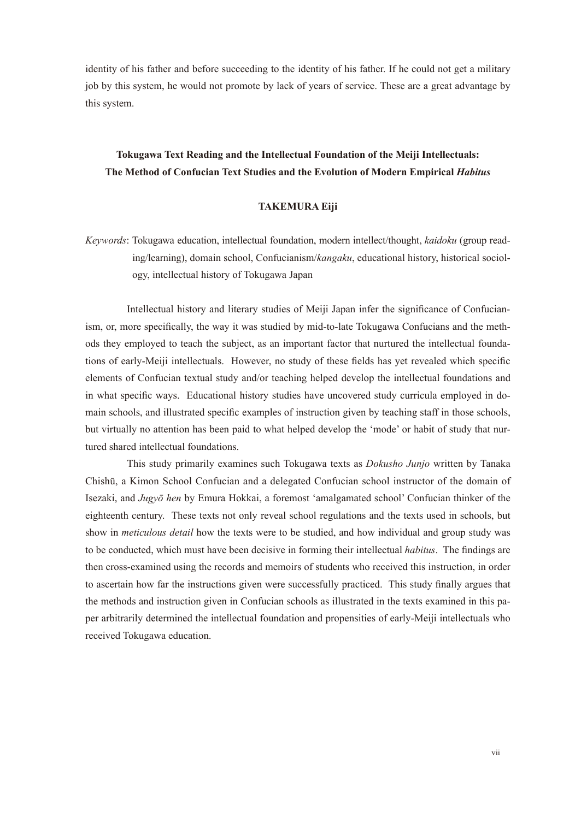identity of his father and before succeeding to the identity of his father. If he could not get a military job by this system, he would not promote by lack of years of service. These are a great advantage by this system.

## **Tokugawa Text Reading and the Intellectual Foundation of the Meiji Intellectuals: The Method of Confucian Text Studies and the Evolution of Modern Empirical** *Habitus*

## **TAKEMURA Eiji**

*Keywords*: Tokugawa education, intellectual foundation, modern intellect/thought, *kaidoku* (group reading/learning), domain school, Confucianism/*kangaku*, educational history, historical sociology, intellectual history of Tokugawa Japan

 Intellectual history and literary studies of Meiji Japan infer the significance of Confucianism, or, more specifically, the way it was studied by mid-to-late Tokugawa Confucians and the methods they employed to teach the subject, as an important factor that nurtured the intellectual foundations of early-Meiji intellectuals. However, no study of these fields has yet revealed which specific elements of Confucian textual study and/or teaching helped develop the intellectual foundations and in what specific ways. Educational history studies have uncovered study curricula employed in domain schools, and illustrated specific examples of instruction given by teaching staff in those schools, but virtually no attention has been paid to what helped develop the 'mode' or habit of study that nurtured shared intellectual foundations.

 This study primarily examines such Tokugawa texts as *Dokusho Junjo* written by Tanaka Chishū, a Kimon School Confucian and a delegated Confucian school instructor of the domain of Isezaki, and *Jugyō hen* by Emura Hokkai, a foremost 'amalgamated school' Confucian thinker of the eighteenth century. These texts not only reveal school regulations and the texts used in schools, but show in *meticulous detail* how the texts were to be studied, and how individual and group study was to be conducted, which must have been decisive in forming their intellectual *habitus*. The findings are then cross-examined using the records and memoirs of students who received this instruction, in order to ascertain how far the instructions given were successfully practiced. This study finally argues that the methods and instruction given in Confucian schools as illustrated in the texts examined in this paper arbitrarily determined the intellectual foundation and propensities of early-Meiji intellectuals who received Tokugawa education.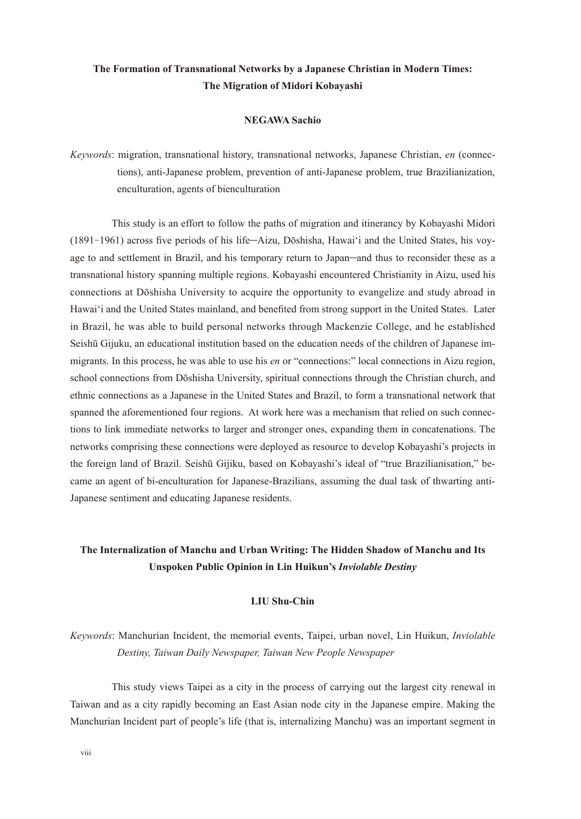## **The Formation of Transnational Networks by a Japanese Christian in Modern Times: The Migration of Midori Kobayashi**

#### **NEGAWA Sachio**

*Keywords*: migration, transnational history, transnational networks, Japanese Christian, *en* (connections), anti-Japanese problem, prevention of anti-Japanese problem, true Brazilianization, enculturation, agents of bienculturation

 This study is an effort to follow the paths of migration and itinerancy by Kobayashi Midori (1891-1961) across five periods of his life─Aizu, Dōshisha, Hawai'i and the United States, his voyage to and settlement in Brazil, and his temporary return to Japan—and thus to reconsider these as a transnational history spanning multiple regions. Kobayashi encountered Christianity in Aizu, used his connections at Dōshisha University to acquire the opportunity to evangelize and study abroad in Hawai'i and the United States mainland, and benefited from strong support in the United States. Later in Brazil, he was able to build personal networks through Mackenzie College, and he established Seishū Gijuku, an educational institution based on the education needs of the children of Japanese immigrants. In this process, he was able to use his *en* or "connections:" local connections in Aizu region, school connections from Dōshisha University, spiritual connections through the Christian church, and ethnic connections as a Japanese in the United States and Brazil, to form a transnational network that spanned the aforementioned four regions. At work here was a mechanism that relied on such connections to link immediate networks to larger and stronger ones, expanding them in concatenations. The networks comprising these connections were deployed as resource to develop Kobayashi's projects in the foreign land of Brazil. Seishū Gijiku, based on Kobayashi's ideal of "true Brazilianisation," became an agent of bi-enculturation for Japanese-Brazilians, assuming the dual task of thwarting anti-Japanese sentiment and educating Japanese residents.

# **The Internalization of Manchu and Urban Writing: The Hidden Shadow of Manchu and Its Unspoken Public Opinion in Lin Huikun's** *Inviolable Destiny*

## **LIU Shu-Chin**

# *Keywords*: Manchurian Incident, the memorial events, Taipei, urban novel, Lin Huikun, *Inviolable Destiny, Taiwan Daily Newspaper, Taiwan New People Newspaper*

 This study views Taipei as a city in the process of carrying out the largest city renewal in Taiwan and as a city rapidly becoming an East Asian node city in the Japanese empire. Making the Manchurian Incident part of people's life (that is, internalizing Manchu) was an important segment in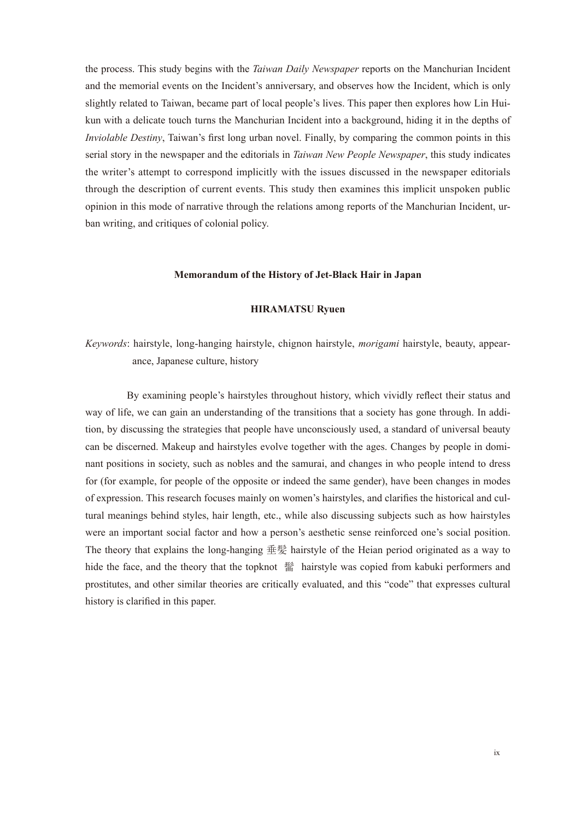the process. This study begins with the *Taiwan Daily Newspaper* reports on the Manchurian Incident and the memorial events on the Incident's anniversary, and observes how the Incident, which is only slightly related to Taiwan, became part of local people's lives. This paper then explores how Lin Huikun with a delicate touch turns the Manchurian Incident into a background, hiding it in the depths of *Inviolable Destiny*, Taiwan's first long urban novel. Finally, by comparing the common points in this serial story in the newspaper and the editorials in *Taiwan New People Newspaper*, this study indicates the writer's attempt to correspond implicitly with the issues discussed in the newspaper editorials through the description of current events. This study then examines this implicit unspoken public opinion in this mode of narrative through the relations among reports of the Manchurian Incident, urban writing, and critiques of colonial policy.

## **Memorandum of the History of Jet-Black Hair in Japan**

#### **HIRAMATSU Ryuen**

*Keywords*: hairstyle, long-hanging hairstyle, chignon hairstyle, *morigami* hairstyle, beauty, appearance, Japanese culture, history

 By examining people's hairstyles throughout history, which vividly reflect their status and way of life, we can gain an understanding of the transitions that a society has gone through. In addition, by discussing the strategies that people have unconsciously used, a standard of universal beauty can be discerned. Makeup and hairstyles evolve together with the ages. Changes by people in dominant positions in society, such as nobles and the samurai, and changes in who people intend to dress for (for example, for people of the opposite or indeed the same gender), have been changes in modes of expression. This research focuses mainly on women's hairstyles, and clarifies the historical and cultural meanings behind styles, hair length, etc., while also discussing subjects such as how hairstyles were an important social factor and how a person's aesthetic sense reinforced one's social position. The theory that explains the long-hanging 垂髪 hairstyle of the Heian period originated as a way to hide the face, and the theory that the topknot 髷 hairstyle was copied from kabuki performers and prostitutes, and other similar theories are critically evaluated, and this "code" that expresses cultural history is clarified in this paper.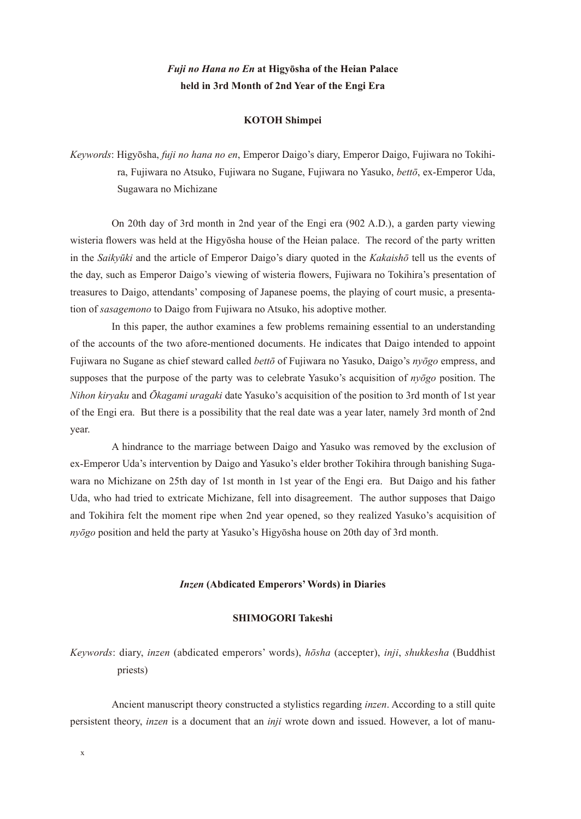# *Fuji no Hana no En* **at Higyōsha of the Heian Palace held in 3rd Month of 2nd Year of the Engi Era**

#### **KOTOH Shimpei**

*Keywords*: Higyōsha, *fuji no hana no en*, Emperor Daigo's diary, Emperor Daigo, Fujiwara no Tokihira, Fujiwara no Atsuko, Fujiwara no Sugane, Fujiwara no Yasuko, *bettō*, ex-Emperor Uda, Sugawara no Michizane

 On 20th day of 3rd month in 2nd year of the Engi era (902 A.D.), a garden party viewing wisteria flowers was held at the Higyōsha house of the Heian palace. The record of the party written in the *Saikyūki* and the article of Emperor Daigo's diary quoted in the *Kakaishō* tell us the events of the day, such as Emperor Daigo's viewing of wisteria flowers, Fujiwara no Tokihira's presentation of treasures to Daigo, attendants' composing of Japanese poems, the playing of court music, a presentation of *sasagemono* to Daigo from Fujiwara no Atsuko, his adoptive mother.

 In this paper, the author examines a few problems remaining essential to an understanding of the accounts of the two afore-mentioned documents. He indicates that Daigo intended to appoint Fujiwara no Sugane as chief steward called *bettō* of Fujiwara no Yasuko, Daigo's *nyōgo* empress, and supposes that the purpose of the party was to celebrate Yasuko's acquisition of *nyōgo* position. The *Nihon kiryaku* and *Ōkagami uragaki* date Yasuko's acquisition of the position to 3rd month of 1st year of the Engi era. But there is a possibility that the real date was a year later, namely 3rd month of 2nd year.

 A hindrance to the marriage between Daigo and Yasuko was removed by the exclusion of ex-Emperor Uda's intervention by Daigo and Yasuko's elder brother Tokihira through banishing Sugawara no Michizane on 25th day of 1st month in 1st year of the Engi era. But Daigo and his father Uda, who had tried to extricate Michizane, fell into disagreement. The author supposes that Daigo and Tokihira felt the moment ripe when 2nd year opened, so they realized Yasuko's acquisition of *nyōgo* position and held the party at Yasuko's Higyōsha house on 20th day of 3rd month.

#### *Inzen* **(Abdicated Emperors' Words) in Diaries**

#### **SHIMOGORI Takeshi**

*Keywords*: diary, *inzen* (abdicated emperors' words), *hōsha* (accepter), *inji*, *shukkesha* (Buddhist priests)

 Ancient manuscript theory constructed a stylistics regarding *inzen*. According to a still quite persistent theory, *inzen* is a document that an *inji* wrote down and issued. However, a lot of manu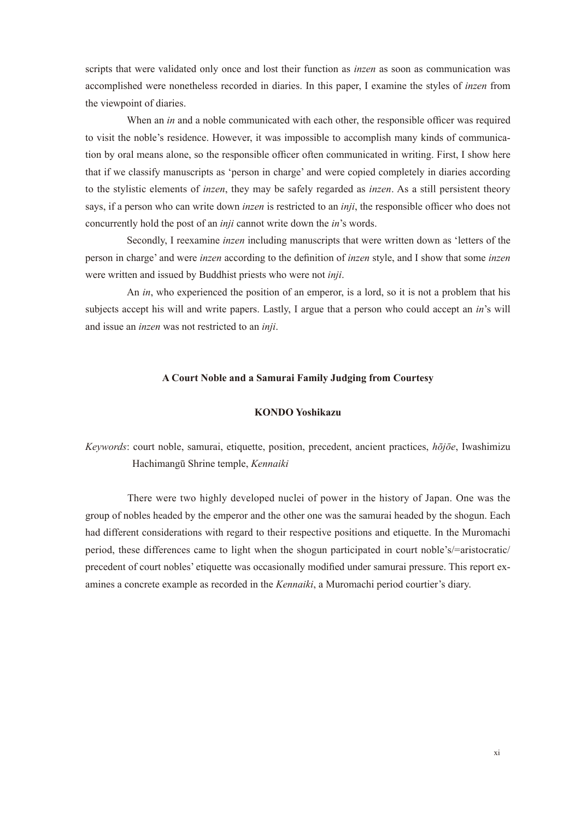scripts that were validated only once and lost their function as *inzen* as soon as communication was accomplished were nonetheless recorded in diaries. In this paper, I examine the styles of *inzen* from the viewpoint of diaries.

 When an *in* and a noble communicated with each other, the responsible officer was required to visit the noble's residence. However, it was impossible to accomplish many kinds of communication by oral means alone, so the responsible officer often communicated in writing. First, I show here that if we classify manuscripts as 'person in charge' and were copied completely in diaries according to the stylistic elements of *inzen*, they may be safely regarded as *inzen*. As a still persistent theory says, if a person who can write down *inzen* is restricted to an *inji*, the responsible officer who does not concurrently hold the post of an *inji* cannot write down the *in*'s words.

 Secondly, I reexamine *inzen* including manuscripts that were written down as 'letters of the person in charge' and were *inzen* according to the definition of *inzen* style, and I show that some *inzen* were written and issued by Buddhist priests who were not *inji*.

 An *in*, who experienced the position of an emperor, is a lord, so it is not a problem that his subjects accept his will and write papers. Lastly, I argue that a person who could accept an *in*'s will and issue an *inzen* was not restricted to an *inji*.

#### **A Court Noble and a Samurai Family Judging from Courtesy**

## **KONDO Yoshikazu**

# *Keywords*: court noble, samurai, etiquette, position, precedent, ancient practices, *hōjōe*, Iwashimizu Hachimangū Shrine temple, *Kennaiki*

 There were two highly developed nuclei of power in the history of Japan. One was the group of nobles headed by the emperor and the other one was the samurai headed by the shogun. Each had different considerations with regard to their respective positions and etiquette. In the Muromachi period, these differences came to light when the shogun participated in court noble's/=aristocratic/ precedent of court nobles' etiquette was occasionally modified under samurai pressure. This report examines a concrete example as recorded in the *Kennaiki*, a Muromachi period courtier's diary.